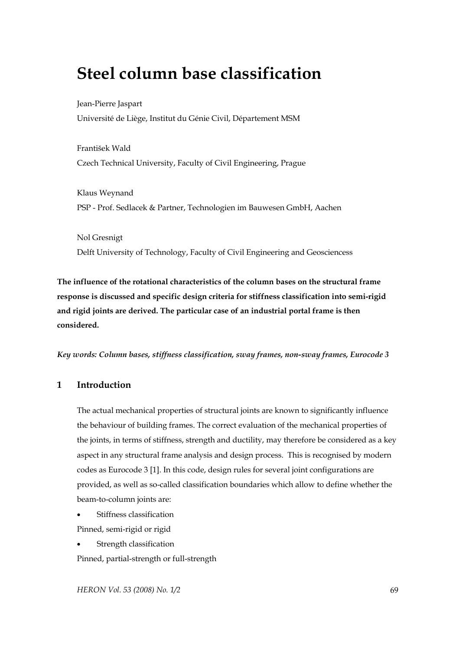# **Steel column base classification**

Jean-Pierre Jaspart Université de Liège, Institut du Génie Civil, Département MSM

František Wald Czech Technical University, Faculty of Civil Engineering, Prague

Klaus Weynand PSP - Prof. Sedlacek & Partner, Technologien im Bauwesen GmbH, Aachen

Nol Gresnigt Delft University of Technology, Faculty of Civil Engineering and Geosciencess

**The influence of the rotational characteristics of the column bases on the structural frame response is discussed and specific design criteria for stiffness classification into semi-rigid and rigid joints are derived. The particular case of an industrial portal frame is then considered.** 

*Key words: Column bases, stiffness classification, sway frames, non-sway frames, Eurocode 3* 

# **1 Introduction**

The actual mechanical properties of structural joints are known to significantly influence the behaviour of building frames. The correct evaluation of the mechanical properties of the joints, in terms of stiffness, strength and ductility, may therefore be considered as a key aspect in any structural frame analysis and design process. This is recognised by modern codes as Eurocode 3 [1]. In this code, design rules for several joint configurations are provided, as well as so-called classification boundaries which allow to define whether the beam-to-column joints are:

- Stiffness classification Pinned, semi-rigid or rigid
- Strength classification

Pinned, partial-strength or full-strength

*HERON Vol. 53 (2008) No. 1/2* 69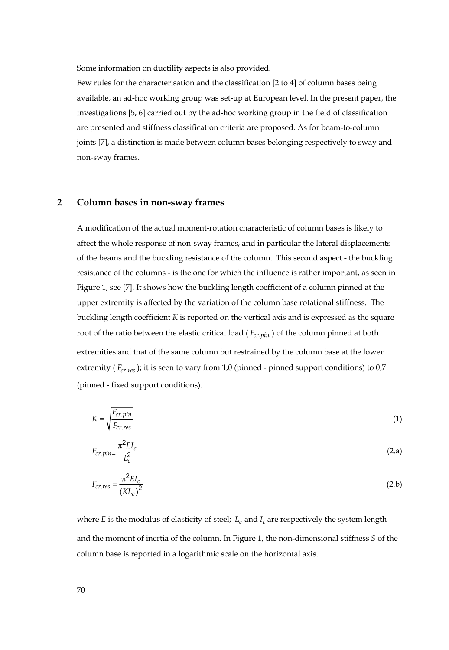Some information on ductility aspects is also provided.

Few rules for the characterisation and the classification [2 to 4] of column bases being available, an ad-hoc working group was set-up at European level. In the present paper, the investigations [5, 6] carried out by the ad-hoc working group in the field of classification are presented and stiffness classification criteria are proposed. As for beam-to-column joints [7], a distinction is made between column bases belonging respectively to sway and non-sway frames.

#### **2 Column bases in non-sway frames**

A modification of the actual moment-rotation characteristic of column bases is likely to affect the whole response of non-sway frames, and in particular the lateral displacements of the beams and the buckling resistance of the column. This second aspect - the buckling resistance of the columns - is the one for which the influence is rather important, as seen in Figure 1, see [7]. It shows how the buckling length coefficient of a column pinned at the upper extremity is affected by the variation of the column base rotational stiffness. The buckling length coefficient *K* is reported on the vertical axis and is expressed as the square root of the ratio between the elastic critical load ( $F_{cr,pin}$ ) of the column pinned at both extremities and that of the same column but restrained by the column base at the lower extremity  $(F_{cr, res})$ ; it is seen to vary from 1,0 (pinned - pinned support conditions) to 0,7 (pinned - fixed support conditions).

$$
K = \sqrt{\frac{F_{cr,pin}}{F_{cr,res}}} \tag{1}
$$

$$
F_{cr.pin} = \frac{\pi^2 E I_c}{L_c^2}
$$
 (2.a)

$$
F_{cr, res} = \frac{\pi^2 E I_c}{\left(K L_c\right)^2} \tag{2.b}
$$

where *E* is the modulus of elasticity of steel;  $L_c$  and  $I_c$  are respectively the system length and the moment of inertia of the column. In Figure 1, the non-dimensional stiffness  $\overline{S}$  of the column base is reported in a logarithmic scale on the horizontal axis.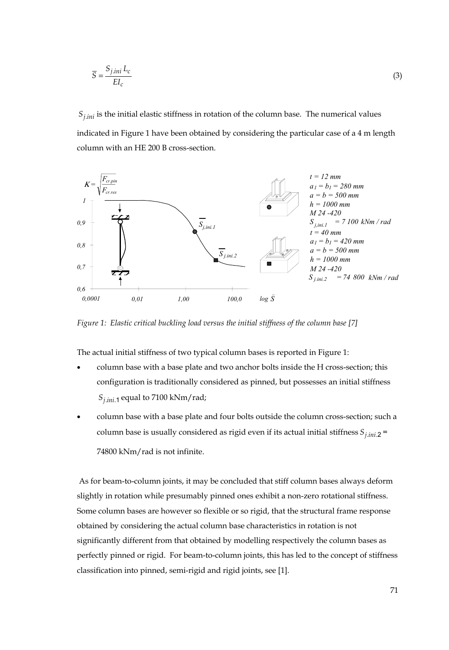$$
\overline{S} = \frac{S_{j.ini} L_c}{E I_c} \tag{3}
$$

 $S_{ijnij}$  is the initial elastic stiffness in rotation of the column base. The numerical values indicated in Figure 1 have been obtained by considering the particular case of a 4 m length column with an HE 200 B cross-section.



*Figure 1: Elastic critical buckling load versus the initial stiffness of the column base [7]* 

The actual initial stiffness of two typical column bases is reported in Figure 1:

- column base with a base plate and two anchor bolts inside the H cross-section; this configuration is traditionally considered as pinned, but possesses an initial stiffness  $S_{j. ini.1}$  equal to 7100 kNm/rad;
- column base with a base plate and four bolts outside the column cross-section; such a column base is usually considered as rigid even if its actual initial stiffness  $S_{j,ini,2}$  = 74800 kNm/rad is not infinite.

 As for beam-to-column joints, it may be concluded that stiff column bases always deform slightly in rotation while presumably pinned ones exhibit a non-zero rotational stiffness. Some column bases are however so flexible or so rigid, that the structural frame response obtained by considering the actual column base characteristics in rotation is not significantly different from that obtained by modelling respectively the column bases as perfectly pinned or rigid. For beam-to-column joints, this has led to the concept of stiffness classification into pinned, semi-rigid and rigid joints, see [1].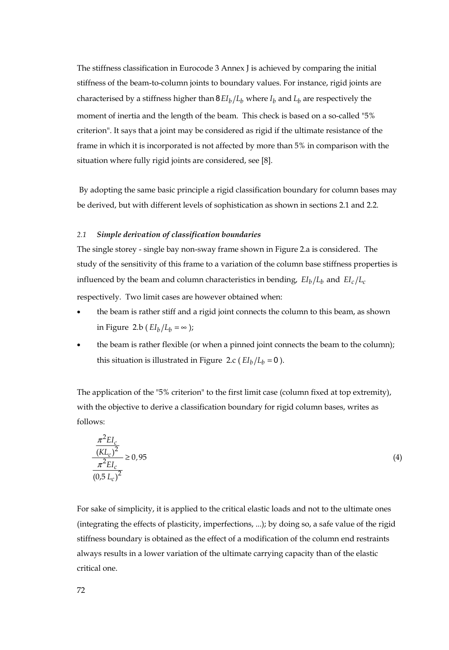The stiffness classification in Eurocode 3 Annex J is achieved by comparing the initial stiffness of the beam-to-column joints to boundary values. For instance, rigid joints are characterised by a stiffness higher than  $8EI_h/L_h$  where  $I_h$  and  $L_h$  are respectively the moment of inertia and the length of the beam. This check is based on a so-called "5% criterion". It says that a joint may be considered as rigid if the ultimate resistance of the frame in which it is incorporated is not affected by more than 5% in comparison with the situation where fully rigid joints are considered, see [8].

 By adopting the same basic principle a rigid classification boundary for column bases may be derived, but with different levels of sophistication as shown in sections 2.1 and 2.2.

#### *2.1 Simple derivation of classification boundaries*

The single storey - single bay non-sway frame shown in Figure 2.a is considered. The study of the sensitivity of this frame to a variation of the column base stiffness properties is influenced by the beam and column characteristics in bending,  $EI_b/L_b$  and  $EI_c/L_c$ 

respectively. Two limit cases are however obtained when:

- the beam is rather stiff and a rigid joint connects the column to this beam, as shown in Figure 2.b ( $EI_b/L_b = \infty$ );
- the beam is rather flexible (or when a pinned joint connects the beam to the column); this situation is illustrated in Figure 2.c ( $EI_b/L_b = 0$ ).

The application of the "5% criterion" to the first limit case (column fixed at top extremity), with the objective to derive a classification boundary for rigid column bases, writes as follows:

$$
\frac{\pi^2 EI_c}{(KL_c)^2} \ge 0.95
$$
\n
$$
\frac{\pi^2 EI_c}{(0.5 L_c)^2} \ge 0.95
$$
\n
$$
(4)
$$

For sake of simplicity, it is applied to the critical elastic loads and not to the ultimate ones (integrating the effects of plasticity, imperfections, ...); by doing so, a safe value of the rigid stiffness boundary is obtained as the effect of a modification of the column end restraints always results in a lower variation of the ultimate carrying capacity than of the elastic critical one.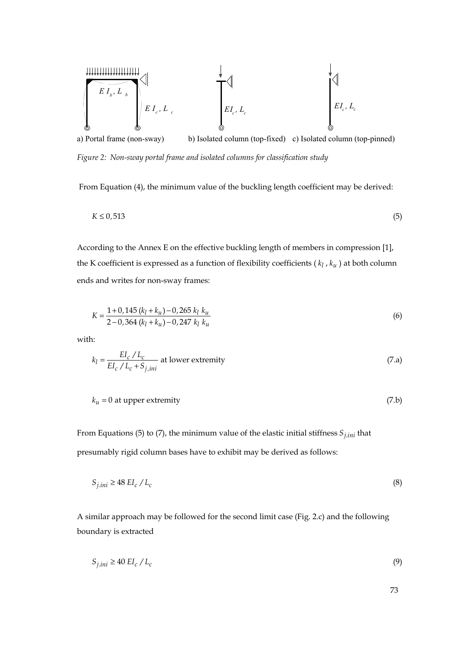

a) Portal frame (non-sway) b) Isolated column (top-fixed) c) Isolated column (top-pinned) *Figure 2: Non-sway portal frame and isolated columns for classification study* 

From Equation (4), the minimum value of the buckling length coefficient may be derived:

$$
K \le 0,513\tag{5}
$$

According to the Annex E on the effective buckling length of members in compression [1], the K coefficient is expressed as a function of flexibility coefficients ( $k_l$ ,  $k_u$ ) at both column ends and writes for non-sway frames:

$$
K = \frac{1+0.145 (k_l + k_u) - 0.265 k_l k_u}{2-0.364 (k_l + k_u) - 0.247 k_l k_u}
$$
(6)

with:

$$
k_l = \frac{EI_c / L_c}{EI_c / L_c + S_{j,ini}}
$$
 at lower extremity (7.a)

$$
k_u = 0 \text{ at upper extremity}
$$
 (7.b)

From Equations (5) to (7), the minimum value of the elastic initial stiffness  $S_{j,ini}$  that presumably rigid column bases have to exhibit may be derived as follows:

$$
S_{j,ini} \ge 48 \, \text{EI}_c \, / \, \text{L}_c \tag{8}
$$

A similar approach may be followed for the second limit case (Fig. 2.c) and the following boundary is extracted

$$
S_{j,ini} \ge 40 \, EL_c / L_c \tag{9}
$$

73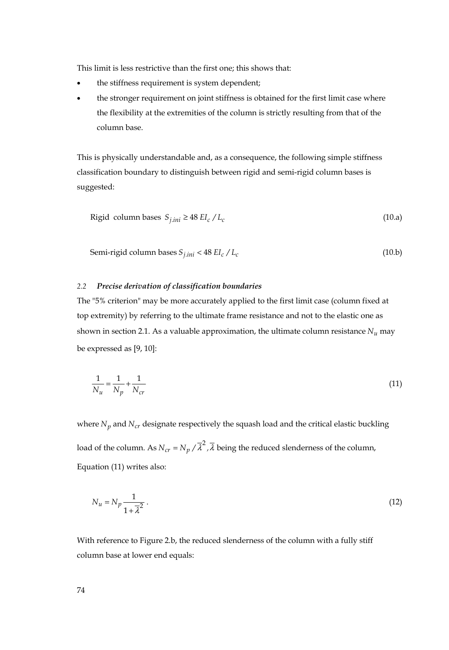This limit is less restrictive than the first one; this shows that:

- the stiffness requirement is system dependent;
- the stronger requirement on joint stiffness is obtained for the first limit case where the flexibility at the extremities of the column is strictly resulting from that of the column base.

This is physically understandable and, as a consequence, the following simple stiffness classification boundary to distinguish between rigid and semi-rigid column bases is suggested:

$$
Rigid column bases Sj,ini \ge 48 Elc / Lc
$$
\n(10.a)

Semi-rigid column bases 
$$
S_{j,ini} < 48 \, EI_c / L_c
$$
 (10.b)

#### *2.2 Precise derivation of classification boundaries*

The "5% criterion" may be more accurately applied to the first limit case (column fixed at top extremity) by referring to the ultimate frame resistance and not to the elastic one as shown in section 2.1. As a valuable approximation, the ultimate column resistance  $N_u$  may be expressed as [9, 10]:

$$
\frac{1}{N_u} = \frac{1}{N_p} + \frac{1}{N_{cr}}\tag{11}
$$

where  $N_p$  and  $N_{cr}$  designate respectively the squash load and the critical elastic buckling load of the column. As  $N_{cr} = N_n / \overline{\lambda}^2$ ,  $\overline{\lambda}$  being the reduced slenderness of the column, Equation (11) writes also:

$$
N_u = N_p \frac{1}{1 + \overline{\lambda}^2} \,. \tag{12}
$$

With reference to Figure 2.b, the reduced slenderness of the column with a fully stiff column base at lower end equals: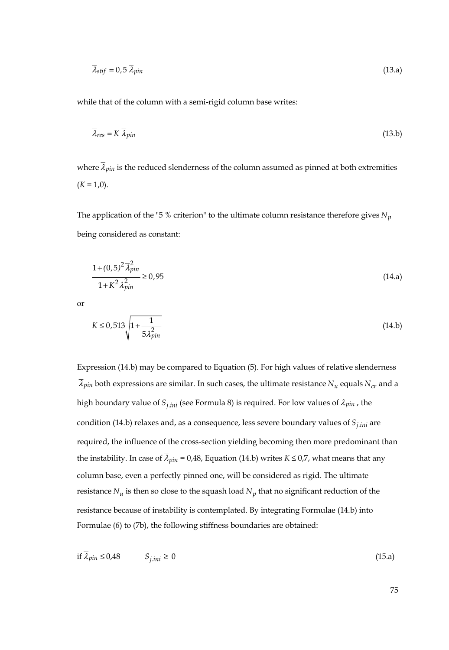$$
\overline{\lambda}_{stif} = 0.5 \,\overline{\lambda}_{pin} \tag{13.3}
$$

while that of the column with a semi-rigid column base writes:

$$
\overline{\lambda}_{res} = K \ \overline{\lambda}_{pin} \tag{13.b}
$$

where  $\bar{\lambda}_{pin}$  is the reduced slenderness of the column assumed as pinned at both extremities  $(K = 1,0)$ .

The application of the "5 % criterion" to the ultimate column resistance therefore gives  $N_p$ being considered as constant:

$$
\frac{1 + (0.5)^2 \overline{\lambda}_{pin}^2}{1 + K^2 \overline{\lambda}_{pin}^2} \ge 0.95
$$
\n(14.3)

or

$$
K \le 0,513 \sqrt{1 + \frac{1}{5\overline{\lambda}_{pin}^2}}
$$
\n(14.b)

Expression (14.b) may be compared to Equation (5). For high values of relative slenderness  $\overline{\lambda}_{pin}$  both expressions are similar. In such cases, the ultimate resistance  $N_u$  equals  $N_{cr}$  and a high boundary value of  $S_{j,ini}$  (see Formula 8) is required. For low values of  $\bar{\lambda}_{pin}$ , the condition (14.b) relaxes and, as a consequence, less severe boundary values of  $S<sub>j,ini</sub>$  are required, the influence of the cross-section yielding becoming then more predominant than the instability. In case of  $\overline{\lambda}_{pin}$  = 0,48, Equation (14.b) writes  $K \le 0.7$ , what means that any column base, even a perfectly pinned one, will be considered as rigid. The ultimate resistance  $N_u$  is then so close to the squash load  $N_p$  that no significant reduction of the resistance because of instability is contemplated. By integrating Formulae (14.b) into Formulae (6) to (7b), the following stiffness boundaries are obtained:

$$
\text{if } \lambda_{pin} \le 0.48 \qquad S_{j,ini} \ge 0 \tag{15.1}
$$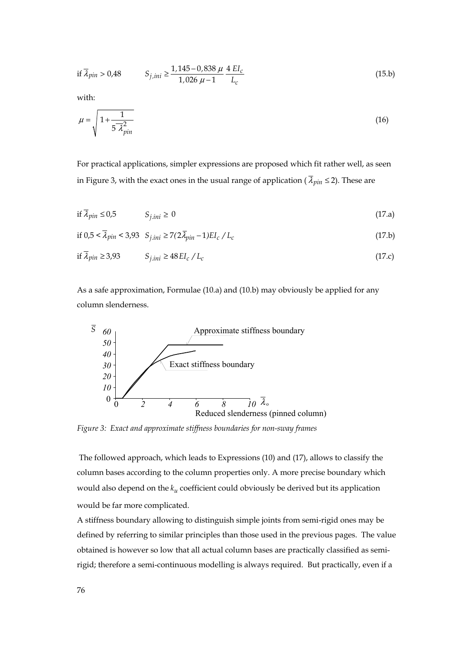if 
$$
\overline{\lambda}_{pin} > 0.48
$$
  $S_{j,ini} \ge \frac{1.145 - 0.838 \mu 4 \text{ } H_c}{1.026 \mu - 1} \frac{4 \text{ } H_c}{L_c}$  (15.b)

with:

$$
\mu = \sqrt{1 + \frac{1}{5 \lambda_{pin}^2}}
$$
\n(16)

For practical applications, simpler expressions are proposed which fit rather well, as seen in Figure 3, with the exact ones in the usual range of application ( $\bar{\lambda}_{pin} \le 2$ ). These are

if 
$$
\overline{\lambda}_{pin} \le 0.5
$$
  $S_{j,ini} \ge 0$  (17.a)

if 
$$
0.5 < \overline{\lambda}_{pin} < 3.93
$$
  $S_{j,ini} \ge 7(2\overline{\lambda}_{pin} - 1)EI_c/L_c$  (17.6)

$$
\text{if } \lambda_{pin} \ge 3.93 \qquad S_{j,ini} \ge 48 \, \text{EI}_c \, / \, \text{L}_c \tag{17.c}
$$

As a safe approximation, Formulae (10.a) and (10.b) may obviously be applied for any column slenderness.



*Figure 3: Exact and approximate stiffness boundaries for non-sway frames* 

 The followed approach, which leads to Expressions (10) and (17), allows to classify the column bases according to the column properties only. A more precise boundary which would also depend on the  $k_u$  coefficient could obviously be derived but its application would be far more complicated.

A stiffness boundary allowing to distinguish simple joints from semi-rigid ones may be defined by referring to similar principles than those used in the previous pages. The value obtained is however so low that all actual column bases are practically classified as semirigid; therefore a semi-continuous modelling is always required. But practically, even if a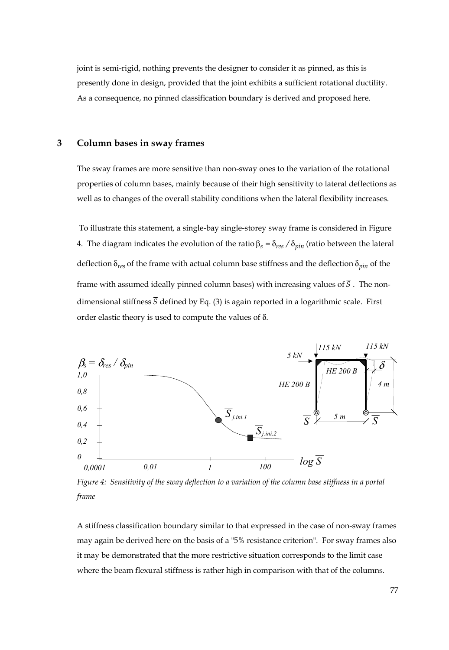joint is semi-rigid, nothing prevents the designer to consider it as pinned, as this is presently done in design, provided that the joint exhibits a sufficient rotational ductility. As a consequence, no pinned classification boundary is derived and proposed here.

#### **3 Column bases in sway frames**

The sway frames are more sensitive than non-sway ones to the variation of the rotational properties of column bases, mainly because of their high sensitivity to lateral deflections as well as to changes of the overall stability conditions when the lateral flexibility increases.

 To illustrate this statement, a single-bay single-storey sway frame is considered in Figure 4. The diagram indicates the evolution of the ratio  $\beta_s = \delta_{res} / \delta_{min}$  (ratio between the lateral deflection  $\delta_{res}$  of the frame with actual column base stiffness and the deflection  $\delta_{pin}$  of the frame with assumed ideally pinned column bases) with increasing values of  $\overline{S}$ . The nondimensional stiffness  $\overline{S}$  defined by Eq. (3) is again reported in a logarithmic scale. First order elastic theory is used to compute the values of δ.



*Figure 4: Sensitivity of the sway deflection to a variation of the column base stiffness in a portal frame* 

A stiffness classification boundary similar to that expressed in the case of non-sway frames may again be derived here on the basis of a "5% resistance criterion". For sway frames also it may be demonstrated that the more restrictive situation corresponds to the limit case where the beam flexural stiffness is rather high in comparison with that of the columns.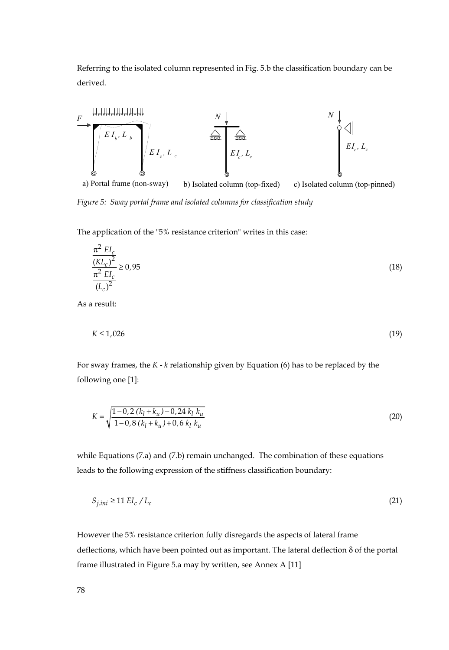Referring to the isolated column represented in Fig. 5.b the classification boundary can be derived.



*Figure 5: Sway portal frame and isolated columns for classification study* 

The application of the "5% resistance criterion" writes in this case:

$$
\frac{\pi^2 EI_c}{\frac{(KL_c)^2}{(L_c)^2}} \ge 0.95
$$
\n(18)

As a result:

$$
K \le 1,026 \tag{19}
$$

For sway frames, the *K* - *k* relationship given by Equation (6) has to be replaced by the following one [1]:

$$
K = \sqrt{\frac{1 - 0.2 (k_l + k_u) - 0.24 k_l k_u}{1 - 0.8 (k_l + k_u) + 0.6 k_l k_u}}
$$
(20)

while Equations (7.a) and (7.b) remain unchanged. The combination of these equations leads to the following expression of the stiffness classification boundary:

$$
S_{j,ini} \ge 11 \, EL_c \, / \, L_c \tag{21}
$$

However the 5% resistance criterion fully disregards the aspects of lateral frame deflections, which have been pointed out as important. The lateral deflection δ of the portal frame illustrated in Figure 5.a may by written, see Annex A [11]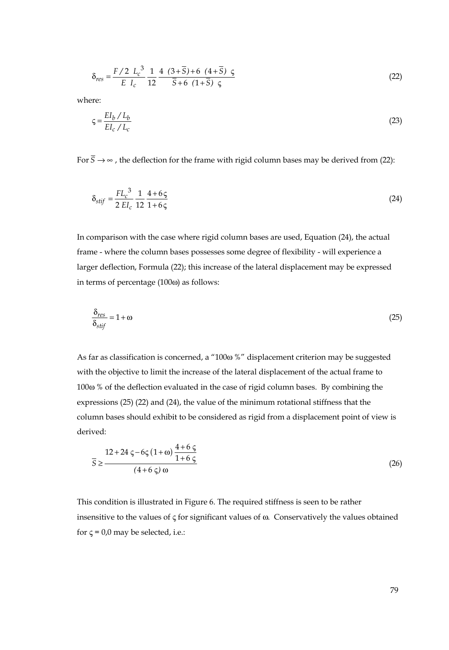$$
\delta_{res} = \frac{F/2 \ L_c^3}{E \ L_c} \frac{1}{12} \frac{4 (3+\bar{S})+6 (4+\bar{S}) \ \varsigma}{\bar{S}+6 (1+\bar{S}) \ \varsigma}
$$
 (22)

where:

$$
\zeta = \frac{EI_b / L_b}{EI_c / L_c} \tag{23}
$$

For  $\bar{S} \rightarrow \infty$ , the deflection for the frame with rigid column bases may be derived from (22):

$$
\delta_{stif} = \frac{FL_c^3}{2\,EI_c} \frac{1}{12} \frac{4+6\,\varsigma}{1+6\,\varsigma} \tag{24}
$$

In comparison with the case where rigid column bases are used, Equation (24), the actual frame - where the column bases possesses some degree of flexibility - will experience a larger deflection, Formula (22); this increase of the lateral displacement may be expressed in terms of percentage (100ω) as follows:

$$
\frac{\delta_{res}}{\delta_{stif}} = 1 + \omega \tag{25}
$$

As far as classification is concerned, a "100 $\omega$ %" displacement criterion may be suggested with the objective to limit the increase of the lateral displacement of the actual frame to 100ω % of the deflection evaluated in the case of rigid column bases. By combining the expressions (25) (22) and (24), the value of the minimum rotational stiffness that the column bases should exhibit to be considered as rigid from a displacement point of view is derived:

$$
\overline{S} \ge \frac{12 + 24 \zeta - 6 \zeta (1 + \omega) \frac{4 + 6 \zeta}{1 + 6 \zeta}}{(4 + 6 \zeta) \omega}
$$
(26)

This condition is illustrated in Figure 6. The required stiffness is seen to be rather insensitive to the values of ς for significant values of ω. Conservatively the values obtained for  $\varsigma$  = 0,0 may be selected, i.e.: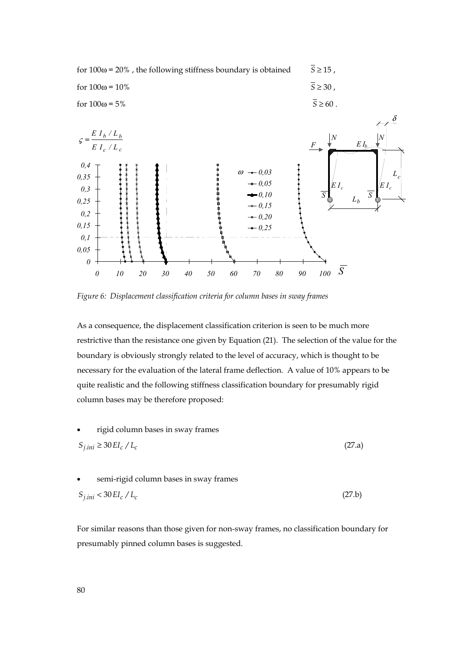

*Figure 6: Displacement classification criteria for column bases in sway frames* 

As a consequence, the displacement classification criterion is seen to be much more restrictive than the resistance one given by Equation (21). The selection of the value for the boundary is obviously strongly related to the level of accuracy, which is thought to be necessary for the evaluation of the lateral frame deflection. A value of 10% appears to be quite realistic and the following stiffness classification boundary for presumably rigid column bases may be therefore proposed:

\n- rigid column bases in swap frames
\n- $$
S_{j,ini} \geq 30 \, EL_c / L_c
$$
\n
\n(27.a)

\n- semi-rigid column bases in swap frames
\n- $$
S_{j,ini} < 30 \, \text{E}I_c / L_c
$$
\n
\n(27.5)

For similar reasons than those given for non-sway frames, no classification boundary for presumably pinned column bases is suggested.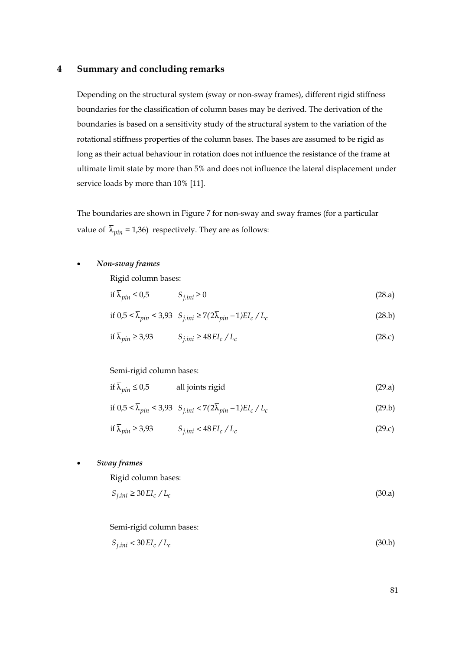#### **4 Summary and concluding remarks**

Depending on the structural system (sway or non-sway frames), different rigid stiffness boundaries for the classification of column bases may be derived. The derivation of the boundaries is based on a sensitivity study of the structural system to the variation of the rotational stiffness properties of the column bases. The bases are assumed to be rigid as long as their actual behaviour in rotation does not influence the resistance of the frame at ultimate limit state by more than 5% and does not influence the lateral displacement under service loads by more than 10% [11].

The boundaries are shown in Figure 7 for non-sway and sway frames (for a particular value of  $\bar{\lambda}_{min}$  = 1,36) respectively. They are as follows:

#### • *Non-sway frames*

Rigid column bases:

$$
\text{if } \overline{\lambda}_{pin} \le 0.5 \qquad S_{j,ini} \ge 0 \tag{28.a}
$$

$$
\text{if } 0.5 < \overline{\lambda}_{\text{pin}} < 3.93 \quad S_{j. \text{ini}} \ge 7(2\overline{\lambda}_{\text{pin}} - 1) \text{EI}_c / \text{L}_c \tag{28.b}
$$

$$
\text{if } \overline{\lambda}_{pin} \ge 3.93 \qquad S_{j,ini} \ge 48 \, EL_c \, / \, L_c \tag{28.c}
$$

#### Semi-rigid column bases:

$$
\text{if } \overline{\lambda}_{pin} \le 0.5 \qquad \qquad \text{all joints rigid} \tag{29.a}
$$

if 
$$
0.5 < \overline{\lambda}_{pin} < 3.93
$$
  $S_{j.ini} < 7(2\overline{\lambda}_{pin} - 1)EI_c/L_c$  (29.b)

$$
\text{if } \overline{\lambda}_{pin} \ge 3.93 \qquad S_{j,ini} < 48 \, \text{EI}_c \, / \, \text{L}_c \tag{29.c}
$$

• *Sway frames* 

Rigid column bases:

$$
S_{j,ini} \ge 30 \, \text{E}_c \, / \, L_c \tag{30.3}
$$

Semi-rigid column bases:

$$
S_{j,ini} < 30 \, \text{E}_c \, / \, L_c \tag{30.b}
$$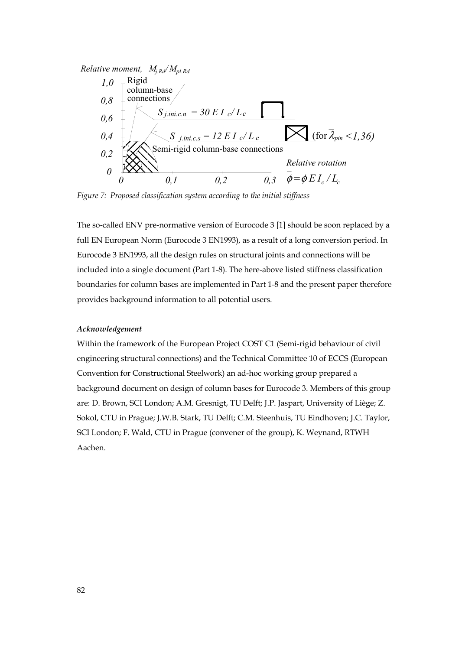*Relative moment, Mj.Rd / Mpl.Rd*



*Figure 7: Proposed classification system according to the initial stiffness* 

The so-called ENV pre-normative version of Eurocode 3 [1] should be soon replaced by a full EN European Norm (Eurocode 3 EN1993), as a result of a long conversion period. In Eurocode 3 EN1993, all the design rules on structural joints and connections will be included into a single document (Part 1-8). The here-above listed stiffness classification boundaries for column bases are implemented in Part 1-8 and the present paper therefore provides background information to all potential users.

#### *Acknowledgement*

Within the framework of the European Project COST C1 (Semi-rigid behaviour of civil engineering structural connections) and the Technical Committee 10 of ECCS (European Convention for Constructional Steelwork) an ad-hoc working group prepared a background document on design of column bases for Eurocode 3. Members of this group are: D. Brown, SCI London; A.M. Gresnigt, TU Delft; J.P. Jaspart, University of Liège; Z. Sokol, CTU in Prague; J.W.B. Stark, TU Delft; C.M. Steenhuis, TU Eindhoven; J.C. Taylor, SCI London; F. Wald, CTU in Prague (convener of the group), K. Weynand, RTWH Aachen.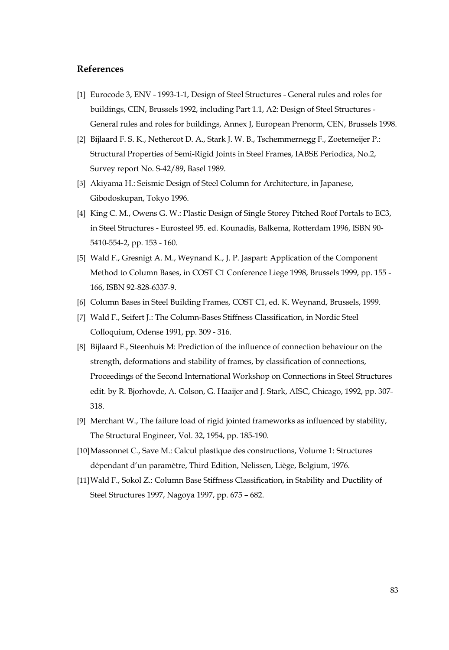### **References**

- [1] Eurocode 3, ENV 1993-1-1, Design of Steel Structures General rules and roles for buildings, CEN, Brussels 1992, including Part 1.1, A2: Design of Steel Structures - General rules and roles for buildings, Annex J, European Prenorm, CEN, Brussels 1998.
- [2] Bijlaard F. S. K., Nethercot D. A., Stark J. W. B., Tschemmernegg F., Zoetemeijer P.: Structural Properties of Semi-Rigid Joints in Steel Frames, IABSE Periodica, No.2, Survey report No. S-42/89, Basel 1989.
- [3] Akiyama H.: Seismic Design of Steel Column for Architecture, in Japanese, Gibodoskupan, Tokyo 1996.
- [4] King C. M., Owens G. W.: Plastic Design of Single Storey Pitched Roof Portals to EC3, in Steel Structures - Eurosteel 95. ed. Kounadis, Balkema, Rotterdam 1996, ISBN 90- 5410-554-2, pp. 153 - 160.
- [5] Wald F., Gresnigt A. M., Weynand K., J. P. Jaspart: Application of the Component Method to Column Bases, in COST C1 Conference Liege 1998, Brussels 1999, pp. 155 - 166, ISBN 92-828-6337-9.
- [6] Column Bases in Steel Building Frames, COST C1, ed. K. Weynand, Brussels, 1999.
- [7] Wald F., Seifert J.: The Column-Bases Stiffness Classification, in Nordic Steel Colloquium, Odense 1991, pp. 309 - 316.
- [8] Bijlaard F., Steenhuis M: Prediction of the influence of connection behaviour on the strength, deformations and stability of frames, by classification of connections, Proceedings of the Second International Workshop on Connections in Steel Structures edit. by R. Bjorhovde, A. Colson, G. Haaijer and J. Stark, AISC, Chicago, 1992, pp. 307- 318.
- [9] Merchant W., The failure load of rigid jointed frameworks as influenced by stability, The Structural Engineer, Vol. 32, 1954, pp. 185-190.
- [10]Massonnet C., Save M.: Calcul plastique des constructions, Volume 1: Structures dépendant d'un paramètre, Third Edition, Nelissen, Liège, Belgium, 1976.
- [11]Wald F., Sokol Z.: Column Base Stiffness Classification, in Stability and Ductility of Steel Structures 1997, Nagoya 1997, pp. 675 – 682.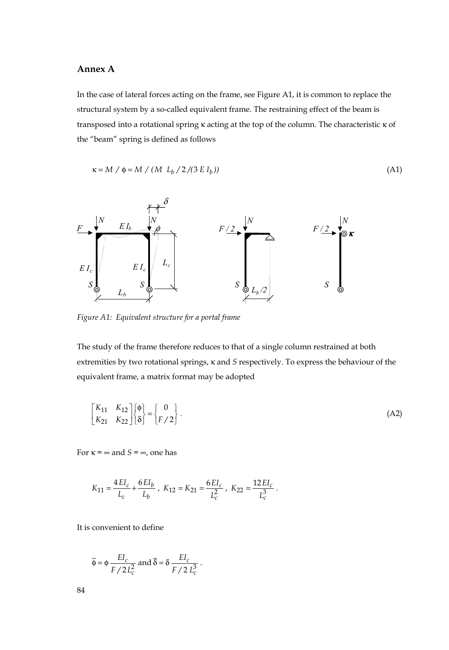#### **Annex A**

In the case of lateral forces acting on the frame, see Figure A1, it is common to replace the structural system by a so-called equivalent frame. The restraining effect of the beam is transposed into a rotational spring κ acting at the top of the column. The characteristic κ of the "beam" spring is defined as follows

$$
\kappa = M / \phi = M / (M L_b / 2 / (3 E I_b))
$$
 (A1)



*Figure A1: Equivalent structure for a portal frame* 

The study of the frame therefore reduces to that of a single column restrained at both extremities by two rotational springs, κ and *S* respectively. To express the behaviour of the equivalent frame, a matrix format may be adopted

$$
\begin{bmatrix} K_{11} & K_{12} \\ K_{21} & K_{22} \end{bmatrix} \begin{bmatrix} \phi \\ \delta \end{bmatrix} = \begin{Bmatrix} 0 \\ F/2 \end{Bmatrix}.
$$
 (A2)

For  $\kappa = \infty$  and  $S = \infty$ , one has

$$
K_{11}=\frac{4\,EI_c}{L_c}+\frac{6\,EI_b}{L_b}\;,\; K_{12}=K_{21}=\frac{6\,EI_c}{L_c^2}\;,\; K_{22}=\frac{12\,EI_c}{L_c^3}\;.
$$

It is convenient to define

$$
\overline{\phi} = \phi \frac{EI_c}{F/2L_c^2}
$$
 and  $\overline{\delta} = \delta \frac{EI_c}{F/2L_c^3}$ .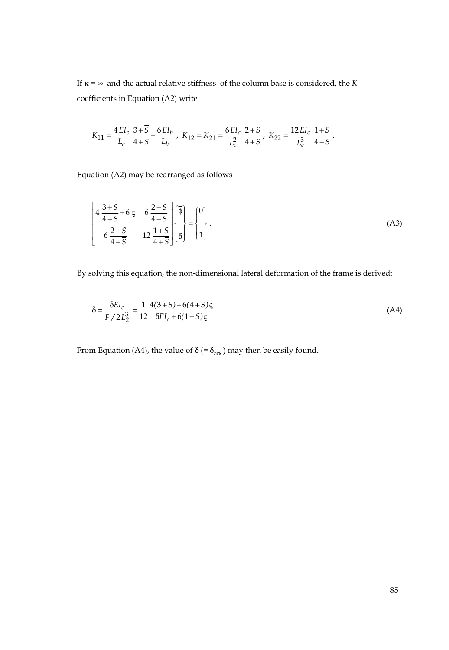If  $\kappa = \infty$  and the actual relative stiffness of the column base is considered, the *K* coefficients in Equation (A2) write

$$
K_{11}=\frac{4\,EI_c}{L_c}\,\frac{3+\overline{S}}{4+\overline{S}}+\frac{6\,EI_b}{L_b}\;,\; K_{12}=K_{21}=\frac{6\,EI_c}{L_c^2}\,\frac{2+\overline{S}}{4+\overline{S}}\;,\; K_{22}=\frac{12\,EI_c}{L_c^3}\,\frac{1+\overline{S}}{4+\overline{S}}\;.
$$

Equation (A2) may be rearranged as follows

$$
\begin{bmatrix} 4\frac{3+\overline{S}}{4+\overline{S}}+6\zeta & 6\frac{2+\overline{S}}{4+\overline{S}} \\ 6\frac{2+\overline{S}}{4+\overline{S}} & 12\frac{1+\overline{S}}{4+\overline{S}} \end{bmatrix} \begin{bmatrix} \overline{\phi} \\ \overline{\delta} \end{bmatrix} = \begin{bmatrix} 0 \\ 1 \end{bmatrix}.
$$
 (A3)

By solving this equation, the non-dimensional lateral deformation of the frame is derived:

$$
\overline{\delta} = \frac{\delta E I_c}{F / 2 L_2^3} = \frac{1}{12} \frac{4(3 + \overline{S}) + 6(4 + \overline{S})\varsigma}{\delta E I_c + 6(1 + \overline{S})\varsigma}
$$
(A4)

From Equation (A4), the value of  $\delta$  (=  $\delta_{res}$ ) may then be easily found.